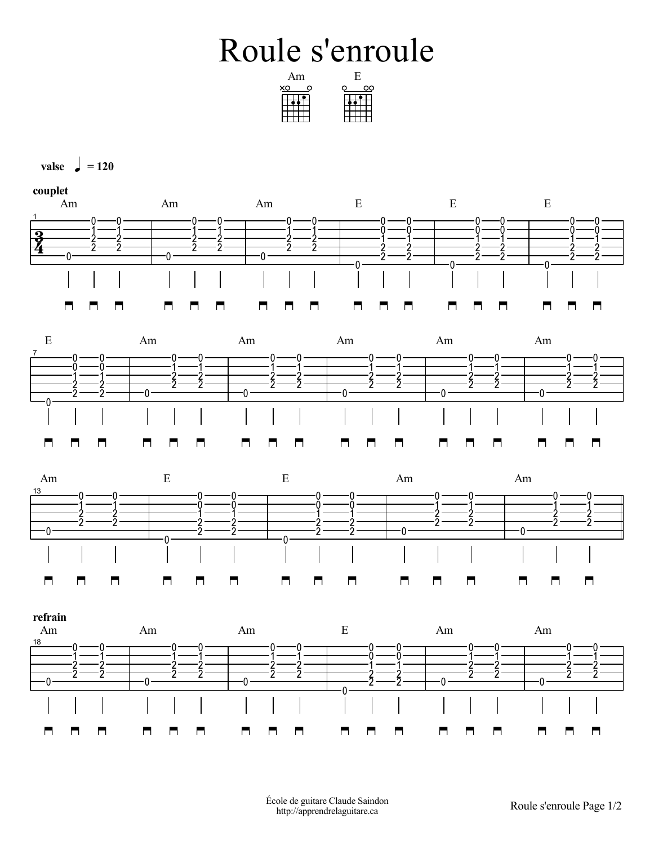## Roule s'enroule

| ١m |  |
|----|--|
|    |  |
|    |  |
|    |  |
|    |  |
|    |  |



 $\mathbf{v}$ alse  $\mathbf{v} = 120$ 

**couplet**